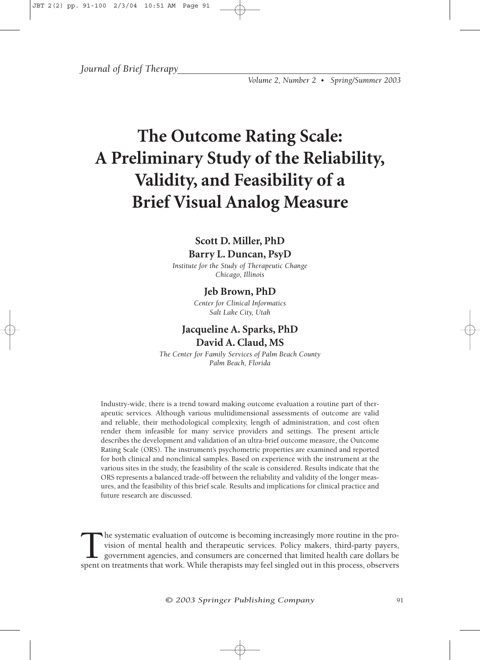*Journal of Brief Therapy*

*Volume 2, Number 2 • Spring/Summer 2003*

# **The Outcome Rating Scale: A Preliminary Study of the Reliability, Validity, and Feasibility of a Brief Visual Analog Measure**

# **Scott D. Miller, PhD Barry L. Duncan, PsyD**

*Institute for the Study of Therapeutic Change Chicago, Illinois*

## **Jeb Brown, PhD**

*Center for Clinical Informatics Salt Lake City, Utah*

# **Jacqueline A. Sparks, PhD David A. Claud, MS**

*The Center for Family Services of Palm Beach County Palm Beach, Florida*

Industry-wide, there is a trend toward making outcome evaluation a routine part of therapeutic services. Although various multidimensional assessments of outcome are valid and reliable, their methodological complexity, length of administration, and cost often render them infeasible for many service providers and settings. The present article describes the development and validation of an ultra-brief outcome measure, the Outcome Rating Scale (ORS). The instrument's psychometric properties are examined and reported for both clinical and nonclinical samples. Based on experience with the instrument at the various sites in the study, the feasibility of the scale is considered. Results indicate that the ORS represents a balanced trade-off between the reliability and validity of the longer measures, and the feasibility of this brief scale. Results and implications for clinical practice and future research are discussed.

The systematic evaluation of outcome is becoming increasingly more routine in the provision of mental health and therapeutic services. Policy makers, third-party payers, government agencies, and consumers are concerned that limited health care dollars be spent on treatments that work. While therapists may feel singled out in this process, observers

*© 2003 Springer Publishing Company* <sup>91</sup>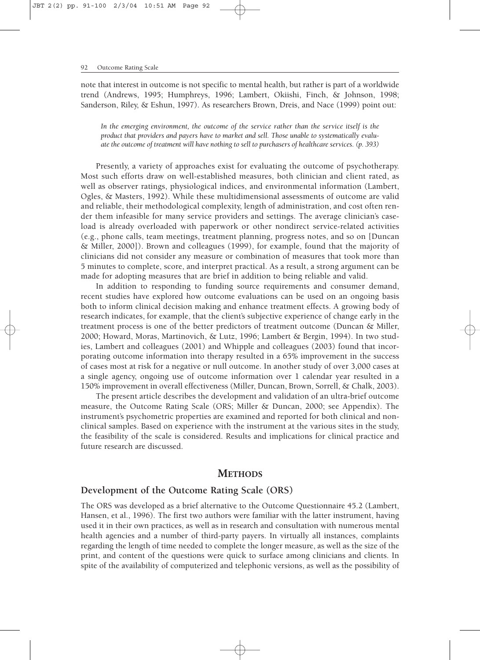note that interest in outcome is not specific to mental health, but rather is part of a worldwide trend (Andrews, 1995; Humphreys, 1996; Lambert, Okiishi, Finch, & Johnson, 1998; Sanderson, Riley, & Eshun, 1997). As researchers Brown, Dreis, and Nace (1999) point out:

*In the emerging environment, the outcome of the service rather than the service itself is the product that providers and payers have to market and sell. Those unable to systematically evaluate the outcome of treatment will have nothing to sell to purchasers of healthcare services. (p. 393)*

Presently, a variety of approaches exist for evaluating the outcome of psychotherapy. Most such efforts draw on well-established measures, both clinician and client rated, as well as observer ratings, physiological indices, and environmental information (Lambert, Ogles, & Masters, 1992). While these multidimensional assessments of outcome are valid and reliable, their methodological complexity, length of administration, and cost often render them infeasible for many service providers and settings. The average clinician's caseload is already overloaded with paperwork or other nondirect service-related activities (e.g., phone calls, team meetings, treatment planning, progress notes, and so on [Duncan & Miller, 2000]). Brown and colleagues (1999), for example, found that the majority of clinicians did not consider any measure or combination of measures that took more than 5 minutes to complete, score, and interpret practical. As a result, a strong argument can be made for adopting measures that are brief in addition to being reliable and valid.

In addition to responding to funding source requirements and consumer demand, recent studies have explored how outcome evaluations can be used on an ongoing basis both to inform clinical decision making and enhance treatment effects. A growing body of research indicates, for example, that the client's subjective experience of change early in the treatment process is one of the better predictors of treatment outcome (Duncan & Miller, 2000; Howard, Moras, Martinovich, & Lutz, 1996; Lambert & Bergin, 1994). In two studies, Lambert and colleagues (2001) and Whipple and colleagues (2003) found that incorporating outcome information into therapy resulted in a 65% improvement in the success of cases most at risk for a negative or null outcome. In another study of over 3,000 cases at a single agency, ongoing use of outcome information over 1 calendar year resulted in a 150% improvement in overall effectiveness (Miller, Duncan, Brown, Sorrell, & Chalk, 2003).

The present article describes the development and validation of an ultra-brief outcome measure, the Outcome Rating Scale (ORS; Miller & Duncan, 2000; see Appendix). The instrument's psychometric properties are examined and reported for both clinical and nonclinical samples. Based on experience with the instrument at the various sites in the study, the feasibility of the scale is considered. Results and implications for clinical practice and future research are discussed.

# **METHODS**

## **Development of the Outcome Rating Scale (ORS)**

The ORS was developed as a brief alternative to the Outcome Questionnaire 45.2 (Lambert, Hansen, et al., 1996). The first two authors were familiar with the latter instrument, having used it in their own practices, as well as in research and consultation with numerous mental health agencies and a number of third-party payers. In virtually all instances, complaints regarding the length of time needed to complete the longer measure, as well as the size of the print, and content of the questions were quick to surface among clinicians and clients. In spite of the availability of computerized and telephonic versions, as well as the possibility of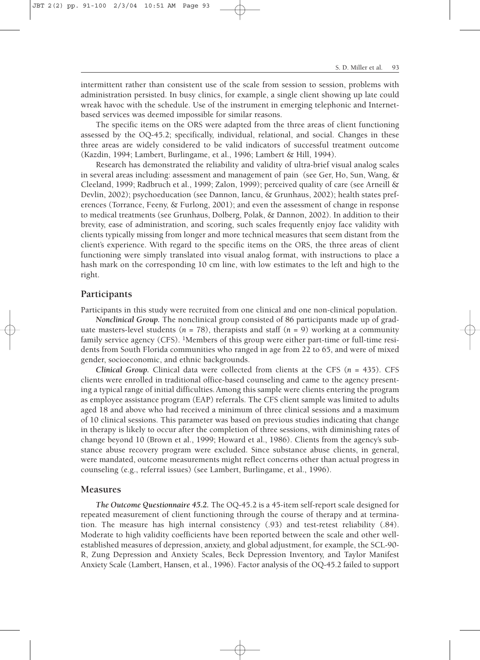JBT 2(2) pp. 91-100 2/3/04 10:51 AM Page 93

intermittent rather than consistent use of the scale from session to session, problems with administration persisted. In busy clinics, for example, a single client showing up late could wreak havoc with the schedule. Use of the instrument in emerging telephonic and Internetbased services was deemed impossible for similar reasons.

The specific items on the ORS were adapted from the three areas of client functioning assessed by the OQ-45.2; specifically, individual, relational, and social. Changes in these three areas are widely considered to be valid indicators of successful treatment outcome (Kazdin, 1994; Lambert, Burlingame, et al., 1996; Lambert & Hill, 1994).

Research has demonstrated the reliability and validity of ultra-brief visual analog scales in several areas including: assessment and management of pain (see Ger, Ho, Sun, Wang, & Cleeland, 1999; Radbruch et al., 1999; Zalon, 1999); perceived quality of care (see Arneill & Devlin, 2002); psychoeducation (see Dannon, Iancu, & Grunhaus, 2002); health states preferences (Torrance, Feeny, & Furlong, 2001); and even the assessment of change in response to medical treatments (see Grunhaus, Dolberg, Polak, & Dannon, 2002). In addition to their brevity, ease of administration, and scoring, such scales frequently enjoy face validity with clients typically missing from longer and more technical measures that seem distant from the client's experience. With regard to the specific items on the ORS, the three areas of client functioning were simply translated into visual analog format, with instructions to place a hash mark on the corresponding 10 cm line, with low estimates to the left and high to the right.

#### **Participants**

Participants in this study were recruited from one clinical and one non-clinical population.

*Nonclinical Group.* The nonclinical group consisted of 86 participants made up of graduate masters-level students ( $n = 78$ ), therapists and staff ( $n = 9$ ) working at a community family service agency (CFS). 1Members of this group were either part-time or full-time residents from South Florida communities who ranged in age from 22 to 65, and were of mixed gender, socioeconomic, and ethnic backgrounds.

*Clinical Group.* Clinical data were collected from clients at the CFS (*n* = 435). CFS clients were enrolled in traditional office-based counseling and came to the agency presenting a typical range of initial difficulties.Among this sample were clients entering the program as employee assistance program (EAP) referrals. The CFS client sample was limited to adults aged 18 and above who had received a minimum of three clinical sessions and a maximum of 10 clinical sessions. This parameter was based on previous studies indicating that change in therapy is likely to occur after the completion of three sessions, with diminishing rates of change beyond 10 (Brown et al., 1999; Howard et al., 1986). Clients from the agency's substance abuse recovery program were excluded. Since substance abuse clients, in general, were mandated, outcome measurements might reflect concerns other than actual progress in counseling (e.g., referral issues) (see Lambert, Burlingame, et al., 1996).

#### **Measures**

*The Outcome Questionnaire 45.2.* The OQ-45.2 is a 45-item self-report scale designed for repeated measurement of client functioning through the course of therapy and at termination. The measure has high internal consistency (.93) and test-retest reliability (.84). Moderate to high validity coefficients have been reported between the scale and other wellestablished measures of depression, anxiety, and global adjustment, for example, the SCL-90- R, Zung Depression and Anxiety Scales, Beck Depression Inventory, and Taylor Manifest Anxiety Scale (Lambert, Hansen, et al., 1996). Factor analysis of the OQ-45.2 failed to support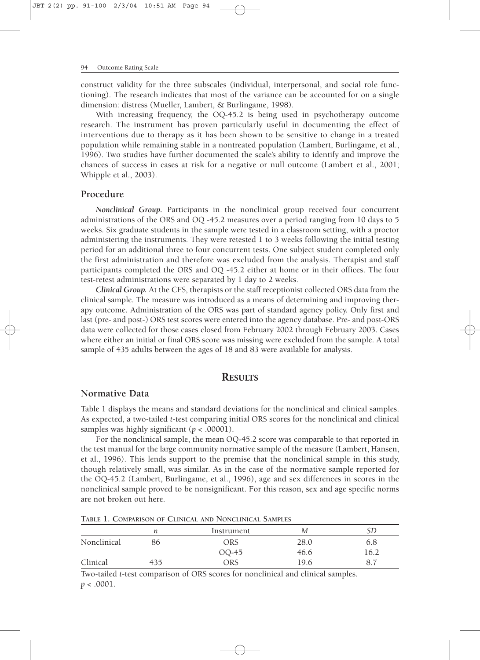construct validity for the three subscales (individual, interpersonal, and social role functioning). The research indicates that most of the variance can be accounted for on a single dimension: distress (Mueller, Lambert, & Burlingame, 1998).

With increasing frequency, the OQ-45.2 is being used in psychotherapy outcome research. The instrument has proven particularly useful in documenting the effect of interventions due to therapy as it has been shown to be sensitive to change in a treated population while remaining stable in a nontreated population (Lambert, Burlingame, et al., 1996). Two studies have further documented the scale's ability to identify and improve the chances of success in cases at risk for a negative or null outcome (Lambert et al., 2001; Whipple et al., 2003).

## **Procedure**

*Nonclinical Group.* Participants in the nonclinical group received four concurrent administrations of the ORS and OQ -45.2 measures over a period ranging from 10 days to 5 weeks. Six graduate students in the sample were tested in a classroom setting, with a proctor administering the instruments. They were retested 1 to 3 weeks following the initial testing period for an additional three to four concurrent tests. One subject student completed only the first administration and therefore was excluded from the analysis. Therapist and staff participants completed the ORS and OQ -45.2 either at home or in their offices. The four test-retest administrations were separated by 1 day to 2 weeks.

*Clinical Group.* At the CFS, therapists or the staff receptionist collected ORS data from the clinical sample. The measure was introduced as a means of determining and improving therapy outcome. Administration of the ORS was part of standard agency policy. Only first and last (pre- and post-) ORS test scores were entered into the agency database. Pre- and post-ORS data were collected for those cases closed from February 2002 through February 2003. Cases where either an initial or final ORS score was missing were excluded from the sample. A total sample of 435 adults between the ages of 18 and 83 were available for analysis.

## **RESULTS**

### **Normative Data**

Table 1 displays the means and standard deviations for the nonclinical and clinical samples. As expected, a two-tailed *t*-test comparing initial ORS scores for the nonclinical and clinical samples was highly significant (*p* < .00001).

For the nonclinical sample, the mean OQ-45.2 score was comparable to that reported in the test manual for the large community normative sample of the measure (Lambert, Hansen, et al., 1996). This lends support to the premise that the nonclinical sample in this study, though relatively small, was similar. As in the case of the normative sample reported for the OQ-45.2 (Lambert, Burlingame, et al., 1996), age and sex differences in scores in the nonclinical sample proved to be nonsignificant. For this reason, sex and age specific norms are not broken out here.

|             | п   | Instrument | М    |      |
|-------------|-----|------------|------|------|
| Nonclinical | 86  | ORS        | 28.0 | 6.8  |
|             |     | OQ-45      | 46.6 | 16.2 |
| Clinical    | 435 | ORS        | 19.6 |      |

**TABLE 1. COMPARISON OF CLINICAL AND NONCLINICAL SAMPLES**

Two-tailed *t*-test comparison of ORS scores for nonclinical and clinical samples.  $p < .0001$ .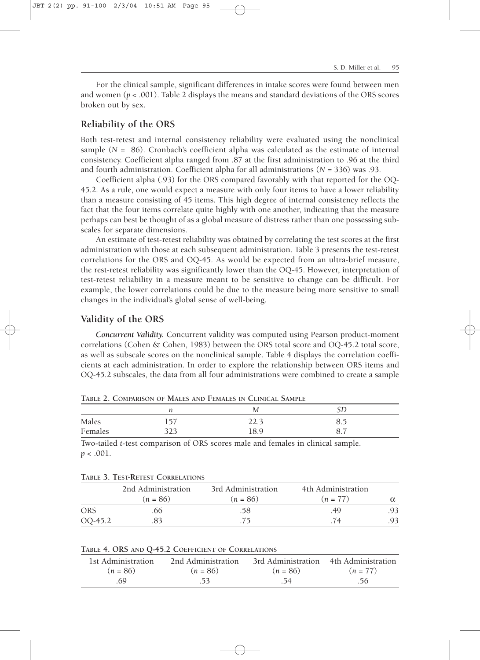For the clinical sample, significant differences in intake scores were found between men and women ( $p < .001$ ). Table 2 displays the means and standard deviations of the ORS scores broken out by sex.

## **Reliability of the ORS**

JBT 2(2) pp. 91-100 2/3/04 10:51 AM Page 95

Both test-retest and internal consistency reliability were evaluated using the nonclinical sample  $(N = 86)$ . Cronbach's coefficient alpha was calculated as the estimate of internal consistency. Coefficient alpha ranged from .87 at the first administration to .96 at the third and fourth administration. Coefficient alpha for all administrations (*N* = 336) was .93.

Coefficient alpha (.93) for the ORS compared favorably with that reported for the OQ-45.2. As a rule, one would expect a measure with only four items to have a lower reliability than a measure consisting of 45 items. This high degree of internal consistency reflects the fact that the four items correlate quite highly with one another, indicating that the measure perhaps can best be thought of as a global measure of distress rather than one possessing subscales for separate dimensions.

An estimate of test-retest reliability was obtained by correlating the test scores at the first administration with those at each subsequent administration. Table 3 presents the test-retest correlations for the ORS and OQ-45. As would be expected from an ultra-brief measure, the rest-retest reliability was significantly lower than the OQ-45. However, interpretation of test-retest reliability in a measure meant to be sensitive to change can be difficult. For example, the lower correlations could be due to the measure being more sensitive to small changes in the individual's global sense of well-being.

#### **Validity of the ORS**

**TABLE 3. TEST-RETEST CORRELATIONS**

*Concurrent Validity.* Concurrent validity was computed using Pearson product-moment correlations (Cohen & Cohen, 1983) between the ORS total score and OQ-45.2 total score, as well as subscale scores on the nonclinical sample. Table 4 displays the correlation coefficients at each administration. In order to explore the relationship between ORS items and OQ-45.2 subscales, the data from all four administrations were combined to create a sample

|         |     | TABLE 2, COMPARISON OF IMALES AND FEMALES IN CLINICAL SAMPLE |  |
|---------|-----|--------------------------------------------------------------|--|
|         |     |                                                              |  |
| Males   | 157 | 22.3                                                         |  |
| Females |     | 18 Q                                                         |  |

**TABLE 2. COMPARISON OF MALES AND FEMALES IN CLINICAL SAMPLE**

Two-tailed *t*-test comparison of ORS scores male and females in clinical sample. *p* < .001.

|         | THE J. LET KEILT COMMETING                                     |            |            |     |  |  |
|---------|----------------------------------------------------------------|------------|------------|-----|--|--|
|         | 2nd Administration<br>3rd Administration<br>4th Administration |            |            |     |  |  |
|         | $(n = 86)$                                                     | $(n = 86)$ | $(n = 77)$ |     |  |  |
| ORS     | 66                                                             | .58        | .49        | .93 |  |  |
| OQ-45.2 |                                                                |            | 74         | .93 |  |  |

|  |  |  |  |  | TABLE 4. ORS AND Q-45.2 COEFFICIENT OF CORRELATIONS |
|--|--|--|--|--|-----------------------------------------------------|
|--|--|--|--|--|-----------------------------------------------------|

| 1st Administration | 2nd Administration | 3rd Administration | 4th Administration |
|--------------------|--------------------|--------------------|--------------------|
| $(n = 86)$         | $(n = 86)$         | $(n = 86)$         | $(n = 77)$         |
| 69                 |                    | -54                | .56                |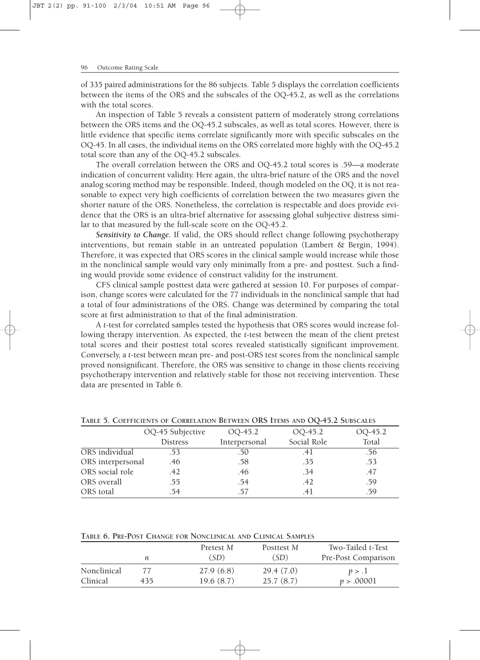of 335 paired administrations for the 86 subjects. Table 5 displays the correlation coefficients between the items of the ORS and the subscales of the OQ-45.2, as well as the correlations with the total scores.

An inspection of Table 5 reveals a consistent pattern of moderately strong correlations between the ORS items and the OQ-45.2 subscales, as well as total scores. However, there is little evidence that specific items correlate significantly more with specific subscales on the OQ-45. In all cases, the individual items on the ORS correlated more highly with the OQ-45.2 total score than any of the OQ-45.2 subscales.

The overall correlation between the ORS and OQ-45.2 total scores is .59—a moderate indication of concurrent validity. Here again, the ultra-brief nature of the ORS and the novel analog scoring method may be responsible. Indeed, though modeled on the OQ, it is not reasonable to expect very high coefficients of correlation between the two measures given the shorter nature of the ORS. Nonetheless, the correlation is respectable and does provide evidence that the ORS is an ultra-brief alternative for assessing global subjective distress similar to that measured by the full-scale score on the OQ-45.2.

*Sensitivity to Change.* If valid, the ORS should reflect change following psychotherapy interventions, but remain stable in an untreated population (Lambert & Bergin, 1994). Therefore, it was expected that ORS scores in the clinical sample would increase while those in the nonclinical sample would vary only minimally from a pre- and posttest. Such a finding would provide some evidence of construct validity for the instrument.

CFS clinical sample posttest data were gathered at session 10. For purposes of comparison, change scores were calculated for the 77 individuals in the nonclinical sample that had a total of four administrations of the ORS. Change was determined by comparing the total score at first administration to that of the final administration.

A *t*-test for correlated samples tested the hypothesis that ORS scores would increase following therapy intervention. As expected, the *t*-test between the mean of the client pretest total scores and their posttest total scores revealed statistically significant improvement. Conversely, a *t*-test between mean pre- and post-ORS test scores from the nonclinical sample proved nonsignificant. Therefore, the ORS was sensitive to change in those clients receiving psychotherapy intervention and relatively stable for those not receiving intervention. These data are presented in Table 6.

|                   | OQ-45 Subjective | 00-45.2       | OQ-45.2     | OQ-45.2 |
|-------------------|------------------|---------------|-------------|---------|
|                   | <b>Distress</b>  | Interpersonal | Social Role | Total   |
| ORS individual    | .53              | .50           | .4 I        | .56     |
| ORS interpersonal | .46              | .58           | .35         | .53     |
| ORS social role   | .42              | .46           | .34         | .47     |
| ORS overall       | .55              | .54           | .42         | .59     |
| ORS total         | .54              | .57           | 41          | .59     |

**TABLE 5. COEFFICIENTS OF CORRELATION BETWEEN ORS ITEMS AND OQ-45.2 SUBSCALES**

**TABLE 6. PRE-POST CHANGE FOR NONCLINICAL AND CLINICAL SAMPLES**

|             |     | Pretest M | Posttest M | Two-Tailed t-Test   |
|-------------|-----|-----------|------------|---------------------|
|             |     | (SD)      | (SD)       | Pre-Post Comparison |
| Nonclinical |     | 27.9(6.8) | 29.4(7.0)  | p > 1               |
| Clinical    | 435 | 19.6(8.7) | 25.7(8.7)  | p > .00001          |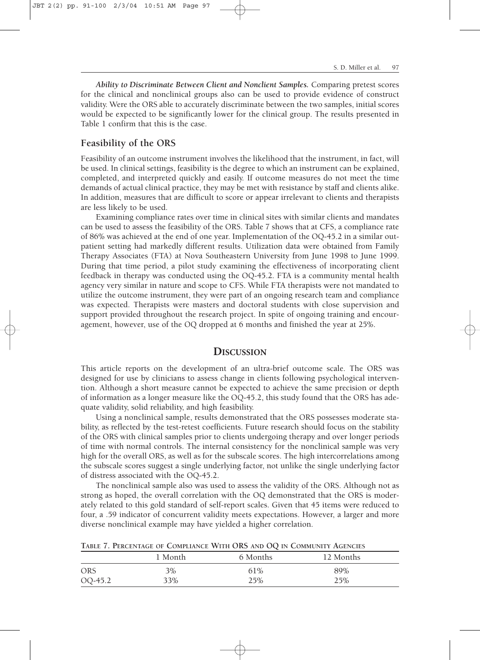JBT 2(2) pp. 91-100 2/3/04 10:51 AM Page 97

*Ability to Discriminate Between Client and Nonclient Samples.* Comparing pretest scores for the clinical and nonclinical groups also can be used to provide evidence of construct validity. Were the ORS able to accurately discriminate between the two samples, initial scores would be expected to be significantly lower for the clinical group. The results presented in Table 1 confirm that this is the case.

## **Feasibility of the ORS**

Feasibility of an outcome instrument involves the likelihood that the instrument, in fact, will be used. In clinical settings, feasibility is the degree to which an instrument can be explained, completed, and interpreted quickly and easily. If outcome measures do not meet the time demands of actual clinical practice, they may be met with resistance by staff and clients alike. In addition, measures that are difficult to score or appear irrelevant to clients and therapists are less likely to be used.

Examining compliance rates over time in clinical sites with similar clients and mandates can be used to assess the feasibility of the ORS. Table 7 shows that at CFS, a compliance rate of 86% was achieved at the end of one year. Implementation of the OQ-45.2 in a similar outpatient setting had markedly different results. Utilization data were obtained from Family Therapy Associates (FTA) at Nova Southeastern University from June 1998 to June 1999. During that time period, a pilot study examining the effectiveness of incorporating client feedback in therapy was conducted using the OQ-45.2. FTA is a community mental health agency very similar in nature and scope to CFS. While FTA therapists were not mandated to utilize the outcome instrument, they were part of an ongoing research team and compliance was expected. Therapists were masters and doctoral students with close supervision and support provided throughout the research project. In spite of ongoing training and encouragement, however, use of the OQ dropped at 6 months and finished the year at 25%.

#### **DISCUSSION**

This article reports on the development of an ultra-brief outcome scale. The ORS was designed for use by clinicians to assess change in clients following psychological intervention. Although a short measure cannot be expected to achieve the same precision or depth of information as a longer measure like the OQ-45.2, this study found that the ORS has adequate validity, solid reliability, and high feasibility.

Using a nonclinical sample, results demonstrated that the ORS possesses moderate stability, as reflected by the test-retest coefficients. Future research should focus on the stability of the ORS with clinical samples prior to clients undergoing therapy and over longer periods of time with normal controls. The internal consistency for the nonclinical sample was very high for the overall ORS, as well as for the subscale scores. The high intercorrelations among the subscale scores suggest a single underlying factor, not unlike the single underlying factor of distress associated with the OQ-45.2.

The nonclinical sample also was used to assess the validity of the ORS. Although not as strong as hoped, the overall correlation with the OQ demonstrated that the ORS is moderately related to this gold standard of self-report scales. Given that 45 items were reduced to four, a .59 indicator of concurrent validity meets expectations. However, a larger and more diverse nonclinical example may have yielded a higher correlation.

**TABLE 7. PERCENTAGE OF COMPLIANCE WITH ORS AND OQ IN COMMUNITY AGENCIES**

|            | 1 Month | 6 Months | 12 Months |
|------------|---------|----------|-----------|
| <b>ORS</b> | 3%      | 61%      | 89%       |
| OQ-45.2    | 33%     | 25%      | 25%       |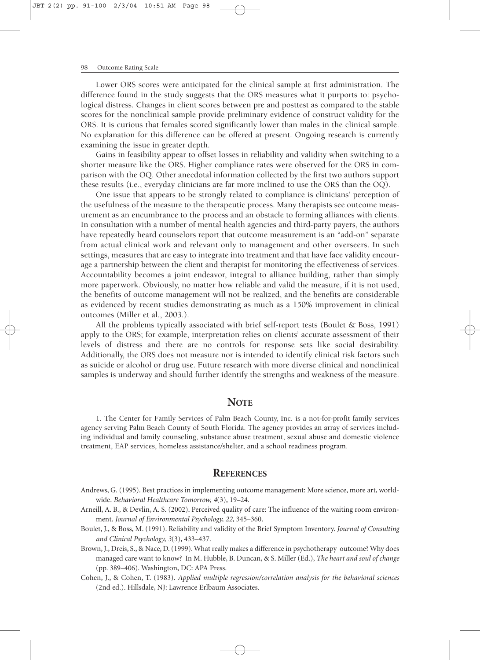Lower ORS scores were anticipated for the clinical sample at first administration. The difference found in the study suggests that the ORS measures what it purports to: psychological distress. Changes in client scores between pre and posttest as compared to the stable scores for the nonclinical sample provide preliminary evidence of construct validity for the ORS. It is curious that females scored significantly lower than males in the clinical sample. No explanation for this difference can be offered at present. Ongoing research is currently examining the issue in greater depth.

Gains in feasibility appear to offset losses in reliability and validity when switching to a shorter measure like the ORS. Higher compliance rates were observed for the ORS in comparison with the OQ. Other anecdotal information collected by the first two authors support these results (i.e., everyday clinicians are far more inclined to use the ORS than the OQ).

One issue that appears to be strongly related to compliance is clinicians' perception of the usefulness of the measure to the therapeutic process. Many therapists see outcome measurement as an encumbrance to the process and an obstacle to forming alliances with clients. In consultation with a number of mental health agencies and third-party payers, the authors have repeatedly heard counselors report that outcome measurement is an "add-on" separate from actual clinical work and relevant only to management and other overseers. In such settings, measures that are easy to integrate into treatment and that have face validity encourage a partnership between the client and therapist for monitoring the effectiveness of services. Accountability becomes a joint endeavor, integral to alliance building, rather than simply more paperwork. Obviously, no matter how reliable and valid the measure, if it is not used, the benefits of outcome management will not be realized, and the benefits are considerable as evidenced by recent studies demonstrating as much as a 150% improvement in clinical outcomes (Miller et al., 2003.).

All the problems typically associated with brief self-report tests (Boulet & Boss, 1991) apply to the ORS; for example, interpretation relies on clients' accurate assessment of their levels of distress and there are no controls for response sets like social desirability. Additionally, the ORS does not measure nor is intended to identify clinical risk factors such as suicide or alcohol or drug use. Future research with more diverse clinical and nonclinical samples is underway and should further identify the strengths and weakness of the measure.

#### **NOTE**

1. The Center for Family Services of Palm Beach County, Inc. is a not-for-profit family services agency serving Palm Beach County of South Florida. The agency provides an array of services including individual and family counseling, substance abuse treatment, sexual abuse and domestic violence treatment, EAP services, homeless assistance/shelter, and a school readiness program.

#### **REFERENCES**

- Andrews, G. (1995). Best practices in implementing outcome management: More science, more art, worldwide. *Behavioral Healthcare Tomorrow, 4*(3), 19–24.
- Arneill, A. B., & Devlin, A. S. (2002). Perceived quality of care: The influence of the waiting room environment. *Journal of Environmental Psychology, 22,* 345–360.
- Boulet, J., & Boss, M. (1991). Reliability and validity of the Brief Symptom Inventory. *Journal of Consulting and Clinical Psychology, 3*(3), 433–437.
- Brown, J., Dreis, S., & Nace, D. (1999). What really makes a difference in psychotherapy outcome? Why does managed care want to know? In M. Hubble, B. Duncan, & S. Miller (Ed.), *The heart and soul of change* (pp. 389–406). Washington, DC: APA Press.
- Cohen, J., & Cohen, T. (1983). *Applied multiple regression/correlation analysis for the behavioral sciences* (2nd ed.). Hillsdale, NJ: Lawrence Erlbaum Associates.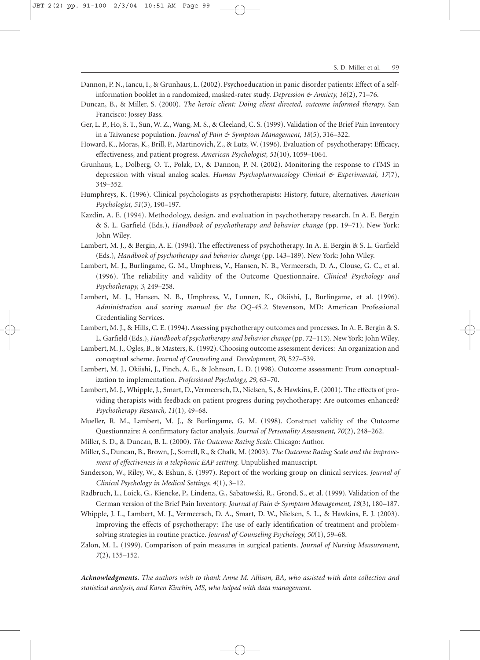- Dannon, P. N., Iancu, I., & Grunhaus, L. (2002). Psychoeducation in panic disorder patients: Effect of a selfinformation booklet in a randomized, masked-rater study. *Depression & Anxiety, 16*(2), 71–76.
- Duncan, B., & Miller, S. (2000). *The heroic client: Doing client directed, outcome informed therapy.* San Francisco: Jossey Bass.
- Ger, L. P., Ho, S. T., Sun, W. Z., Wang, M. S., & Cleeland, C. S. (1999). Validation of the Brief Pain Inventory in a Taiwanese population. *Journal of Pain & Symptom Management, 18*(5), 316–322.
- Howard, K., Moras, K., Brill, P., Martinovich, Z., & Lutz, W. (1996). Evaluation of psychotherapy: Efficacy, effectiveness, and patient progress. *American Psychologist, 51*(10), 1059–1064.
- Grunhaus, L., Dolberg, O. T., Polak, D., & Dannon, P. N. (2002). Monitoring the response to rTMS in depression with visual analog scales. *Human Psychopharmacology Clinical & Experimental, 17*(7), 349–352.
- Humphreys, K. (1996). Clinical psychologists as psychotherapists: History, future, alternatives. *American Psychologist, 51*(3), 190–197.
- Kazdin, A. E. (1994). Methodology, design, and evaluation in psychotherapy research. In A. E. Bergin & S. L. Garfield (Eds.), *Handbook of psychotherapy and behavior change* (pp. 19–71). New York: John Wiley.
- Lambert, M. J., & Bergin, A. E. (1994). The effectiveness of psychotherapy. In A. E. Bergin & S. L. Garfield (Eds.), *Handbook of psychotherapy and behavior change* (pp. 143–189). New York: John Wiley.
- Lambert, M. J., Burlingame, G. M., Umphress, V., Hansen, N. B., Vermeersch, D. A., Clouse, G. C., et al. (1996). The reliability and validity of the Outcome Questionnaire. *Clinical Psychology and Psychotherapy, 3*, 249–258.
- Lambert, M. J., Hansen, N. B., Umphress, V., Lunnen, K., Okiishi, J., Burlingame, et al. (1996). *Administration and scoring manual for the OQ-45.2*. Stevenson, MD: American Professional Credentialing Services.
- Lambert, M. J., & Hills, C. E. (1994). Assessing psychotherapy outcomes and processes. In A. E. Bergin & S. L. Garfield (Eds.), *Handbook of psychotherapy and behavior change* (pp. 72–113). New York: John Wiley.
- Lambert, M. J., Ogles, B., & Masters, K. (1992). Choosing outcome assessment devices: An organization and conceptual scheme. *Journal of Counseling and Development, 70*, 527–539.
- Lambert, M. J., Okiishi, J., Finch, A. E., & Johnson, L. D. (1998). Outcome assessment: From conceptualization to implementation. *Professional Psychology, 29*, 63–70.
- Lambert, M. J., Whipple, J., Smart, D., Vermeersch, D., Nielsen, S., & Hawkins, E. (2001). The effects of providing therapists with feedback on patient progress during psychotherapy: Are outcomes enhanced? *Psychotherapy Research, 11*(1), 49–68.
- Mueller, R. M., Lambert, M. J., & Burlingame, G. M. (1998). Construct validity of the Outcome Questionnaire: A confirmatory factor analysis. *Journal of Personality Assessment, 70*(2), 248–262.
- Miller, S. D., & Duncan, B. L. (2000). *The Outcome Rating Scale.* Chicago: Author.
- Miller, S., Duncan, B., Brown, J., Sorrell, R., & Chalk, M. (2003). *The Outcome Rating Scale and the improvement of effectiveness in a telephonic EAP settting.* Unpublished manuscript.
- Sanderson, W., Riley, W., & Eshun, S. (1997). Report of the working group on clinical services. *Journal of Clinical Psychology in Medical Settings, 4*(1), 3–12.
- Radbruch, L., Loick, G., Kiencke, P., Lindena, G., Sabatowski, R., Grond, S., et al. (1999). Validation of the German version of the Brief Pain Inventory. *Journal of Pain & Symptom Management, 18*(3), 180–187.
- Whipple, J. L., Lambert, M. J., Vermeersch, D. A., Smart, D. W., Nielsen, S. L., & Hawkins, E. J. (2003). Improving the effects of psychotherapy: The use of early identification of treatment and problemsolving strategies in routine practice. *Journal of Counseling Psychology, 50*(1), 59–68.
- Zalon, M. L. (1999). Comparison of pain measures in surgical patients. *Journal of Nursing Measurement, 7*(2), 135–152.

*Acknowledgments. The authors wish to thank Anne M. Allison, BA, who assisted with data collection and statistical analysis, and Karen Kinchin, MS, who helped with data management.*